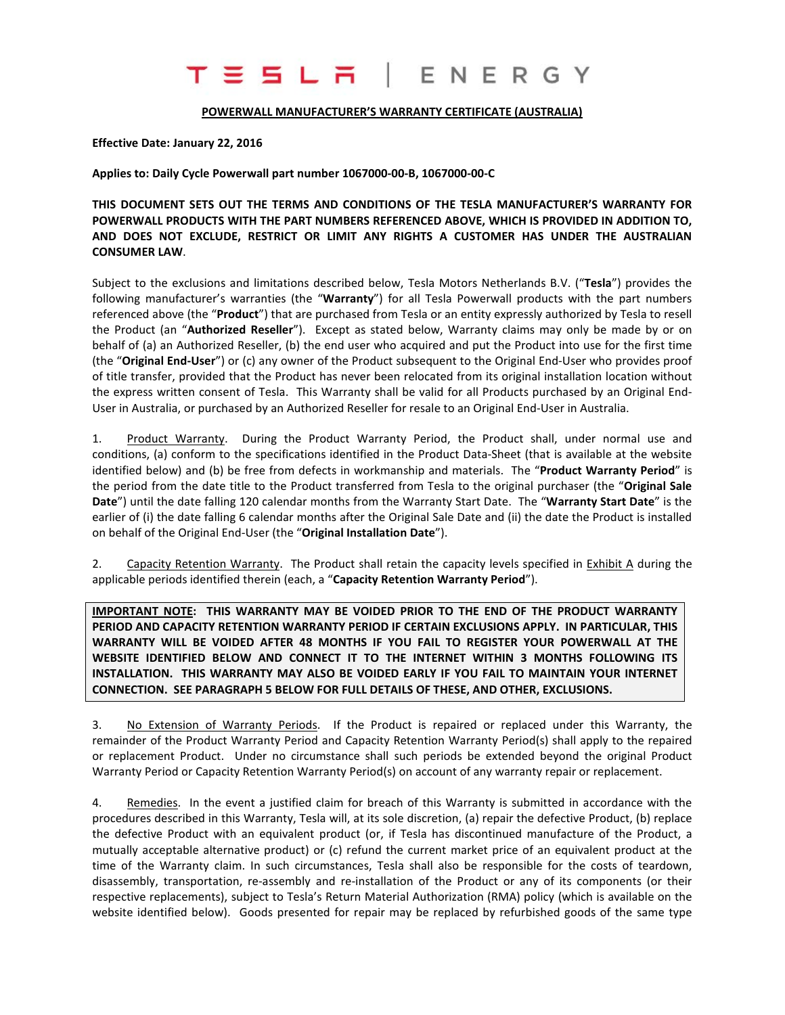# T E S L R I E N E R G Y

#### **POWERWALL MANUFACTURER'S WARRANTY CERTIFICATE (AUSTRALIA)**

**Effective Date: January 22, 2016**

**Applies to: Daily Cycle Powerwall part number 1067000-00-B, 1067000-00-C**

**THIS DOCUMENT SETS OUT THE TERMS AND CONDITIONS OF THE TESLA MANUFACTURER'S WARRANTY FOR POWERWALL PRODUCTS WITH THE PART NUMBERS REFERENCED ABOVE, WHICH IS PROVIDED IN ADDITION TO, AND DOES NOT EXCLUDE, RESTRICT OR LIMIT ANY RIGHTS A CUSTOMER HAS UNDER THE AUSTRALIAN CONSUMER LAW**.

Subject to the exclusions and limitations described below, Tesla Motors Netherlands B.V. ("**Tesla**") provides the following manufacturer's warranties (the "**Warranty**") for all Tesla Powerwall products with the part numbers referenced above (the "**Product**") that are purchased from Tesla or an entity expressly authorized by Tesla to resell the Product (an "**Authorized Reseller**"). Except as stated below, Warranty claims may only be made by or on behalf of (a) an Authorized Reseller, (b) the end user who acquired and put the Product into use for the first time (the "**Original End-User**") or (c) any owner of the Product subsequent to the Original End-User who provides proof of title transfer, provided that the Product has never been relocated from its original installation location without the express written consent of Tesla. This Warranty shall be valid for all Products purchased by an Original End-User in Australia, or purchased by an Authorized Reseller for resale to an Original End-User in Australia.

1. Product Warranty. During the Product Warranty Period, the Product shall, under normal use and conditions, (a) conform to the specifications identified in the Product Data-Sheet (that is available at the website identified below) and (b) be free from defects in workmanship and materials. The "**Product Warranty Period**" is the period from the date title to the Product transferred from Tesla to the original purchaser (the "**Original Sale Date**") until the date falling 120 calendar months from the Warranty Start Date. The "**Warranty Start Date**" is the earlier of (i) the date falling 6 calendar months after the Original Sale Date and (ii) the date the Product is installed on behalf of the Original End-User (the "**Original Installation Date**").

2. Capacity Retention Warranty. The Product shall retain the capacity levels specified in Exhibit A during the applicable periods identified therein (each, a "**Capacity Retention Warranty Period**").

**IMPORTANT NOTE: THIS WARRANTY MAY BE VOIDED PRIOR TO THE END OF THE PRODUCT WARRANTY PERIOD AND CAPACITY RETENTION WARRANTY PERIOD IF CERTAIN EXCLUSIONS APPLY. IN PARTICULAR, THIS WARRANTY WILL BE VOIDED AFTER 48 MONTHS IF YOU FAIL TO REGISTER YOUR POWERWALL AT THE WEBSITE IDENTIFIED BELOW AND CONNECT IT TO THE INTERNET WITHIN 3 MONTHS FOLLOWING ITS INSTALLATION. THIS WARRANTY MAY ALSO BE VOIDED EARLY IF YOU FAIL TO MAINTAIN YOUR INTERNET CONNECTION. SEE PARAGRAPH 5 BELOW FOR FULL DETAILS OF THESE, AND OTHER, EXCLUSIONS.**

3. No Extension of Warranty Periods. If the Product is repaired or replaced under this Warranty, the remainder of the Product Warranty Period and Capacity Retention Warranty Period(s) shall apply to the repaired or replacement Product. Under no circumstance shall such periods be extended beyond the original Product Warranty Period or Capacity Retention Warranty Period(s) on account of any warranty repair or replacement.

4. Remedies. In the event a justified claim for breach of this Warranty is submitted in accordance with the procedures described in this Warranty, Tesla will, at its sole discretion, (a) repair the defective Product, (b) replace the defective Product with an equivalent product (or, if Tesla has discontinued manufacture of the Product, a mutually acceptable alternative product) or (c) refund the current market price of an equivalent product at the time of the Warranty claim. In such circumstances, Tesla shall also be responsible for the costs of teardown, disassembly, transportation, re-assembly and re-installation of the Product or any of its components (or their respective replacements), subject to Tesla's Return Material Authorization (RMA) policy (which is available on the website identified below). Goods presented for repair may be replaced by refurbished goods of the same type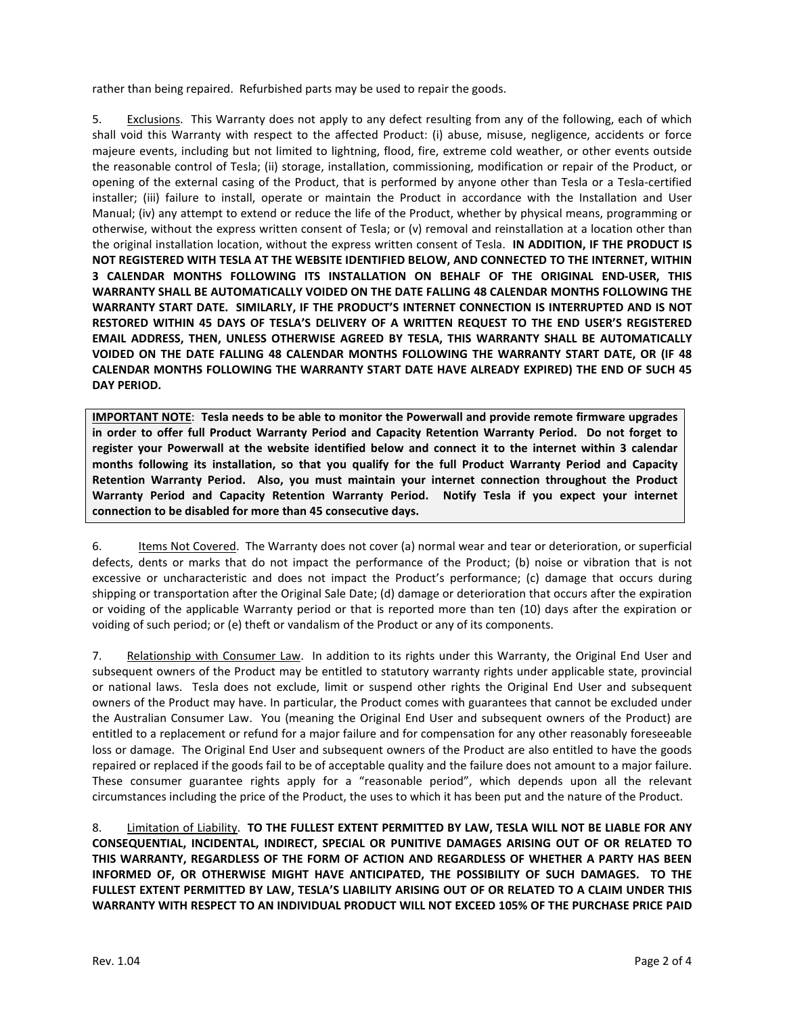rather than being repaired. Refurbished parts may be used to repair the goods.

5. Exclusions. This Warranty does not apply to any defect resulting from any of the following, each of which shall void this Warranty with respect to the affected Product: (i) abuse, misuse, negligence, accidents or force majeure events, including but not limited to lightning, flood, fire, extreme cold weather, or other events outside the reasonable control of Tesla; (ii) storage, installation, commissioning, modification or repair of the Product, or opening of the external casing of the Product, that is performed by anyone other than Tesla or a Tesla-certified installer; (iii) failure to install, operate or maintain the Product in accordance with the Installation and User Manual; (iv) any attempt to extend or reduce the life of the Product, whether by physical means, programming or otherwise, without the express written consent of Tesla; or (v) removal and reinstallation at a location other than the original installation location, without the express written consent of Tesla. **IN ADDITION, IF THE PRODUCT IS NOT REGISTERED WITH TESLA AT THE WEBSITE IDENTIFIED BELOW, AND CONNECTED TO THE INTERNET, WITHIN 3 CALENDAR MONTHS FOLLOWING ITS INSTALLATION ON BEHALF OF THE ORIGINAL END-USER, THIS WARRANTY SHALL BE AUTOMATICALLY VOIDED ON THE DATE FALLING 48 CALENDAR MONTHS FOLLOWING THE WARRANTY START DATE. SIMILARLY, IF THE PRODUCT'S INTERNET CONNECTION IS INTERRUPTED AND IS NOT RESTORED WITHIN 45 DAYS OF TESLA'S DELIVERY OF A WRITTEN REQUEST TO THE END USER'S REGISTERED EMAIL ADDRESS, THEN, UNLESS OTHERWISE AGREED BY TESLA, THIS WARRANTY SHALL BE AUTOMATICALLY VOIDED ON THE DATE FALLING 48 CALENDAR MONTHS FOLLOWING THE WARRANTY START DATE, OR (IF 48 CALENDAR MONTHS FOLLOWING THE WARRANTY START DATE HAVE ALREADY EXPIRED) THE END OF SUCH 45 DAY PERIOD.**

**IMPORTANT NOTE**: **Tesla needs to be able to monitor the Powerwall and provide remote firmware upgrades in order to offer full Product Warranty Period and Capacity Retention Warranty Period. Do not forget to register your Powerwall at the website identified below and connect it to the internet within 3 calendar months following its installation, so that you qualify for the full Product Warranty Period and Capacity Retention Warranty Period. Also, you must maintain your internet connection throughout the Product Warranty Period and Capacity Retention Warranty Period. Notify Tesla if you expect your internet connection to be disabled for more than 45 consecutive days.**

6. Items Not Covered. The Warranty does not cover (a) normal wear and tear or deterioration, or superficial defects, dents or marks that do not impact the performance of the Product; (b) noise or vibration that is not excessive or uncharacteristic and does not impact the Product's performance; (c) damage that occurs during shipping or transportation after the Original Sale Date; (d) damage or deterioration that occurs after the expiration or voiding of the applicable Warranty period or that is reported more than ten (10) days after the expiration or voiding of such period; or (e) theft or vandalism of the Product or any of its components.

7. Relationship with Consumer Law. In addition to its rights under this Warranty, the Original End User and subsequent owners of the Product may be entitled to statutory warranty rights under applicable state, provincial or national laws. Tesla does not exclude, limit or suspend other rights the Original End User and subsequent owners of the Product may have. In particular, the Product comes with guarantees that cannot be excluded under the Australian Consumer Law. You (meaning the Original End User and subsequent owners of the Product) are entitled to a replacement or refund for a major failure and for compensation for any other reasonably foreseeable loss or damage. The Original End User and subsequent owners of the Product are also entitled to have the goods repaired or replaced if the goods fail to be of acceptable quality and the failure does not amount to a major failure. These consumer guarantee rights apply for a "reasonable period", which depends upon all the relevant circumstances including the price of the Product, the uses to which it has been put and the nature of the Product.

8. Limitation of Liability. **TO THE FULLEST EXTENT PERMITTED BY LAW, TESLA WILL NOT BE LIABLE FOR ANY CONSEQUENTIAL, INCIDENTAL, INDIRECT, SPECIAL OR PUNITIVE DAMAGES ARISING OUT OF OR RELATED TO THIS WARRANTY, REGARDLESS OF THE FORM OF ACTION AND REGARDLESS OF WHETHER A PARTY HAS BEEN INFORMED OF, OR OTHERWISE MIGHT HAVE ANTICIPATED, THE POSSIBILITY OF SUCH DAMAGES. TO THE FULLEST EXTENT PERMITTED BY LAW, TESLA'S LIABILITY ARISING OUT OF OR RELATED TO A CLAIM UNDER THIS WARRANTY WITH RESPECT TO AN INDIVIDUAL PRODUCT WILL NOT EXCEED 105% OF THE PURCHASE PRICE PAID**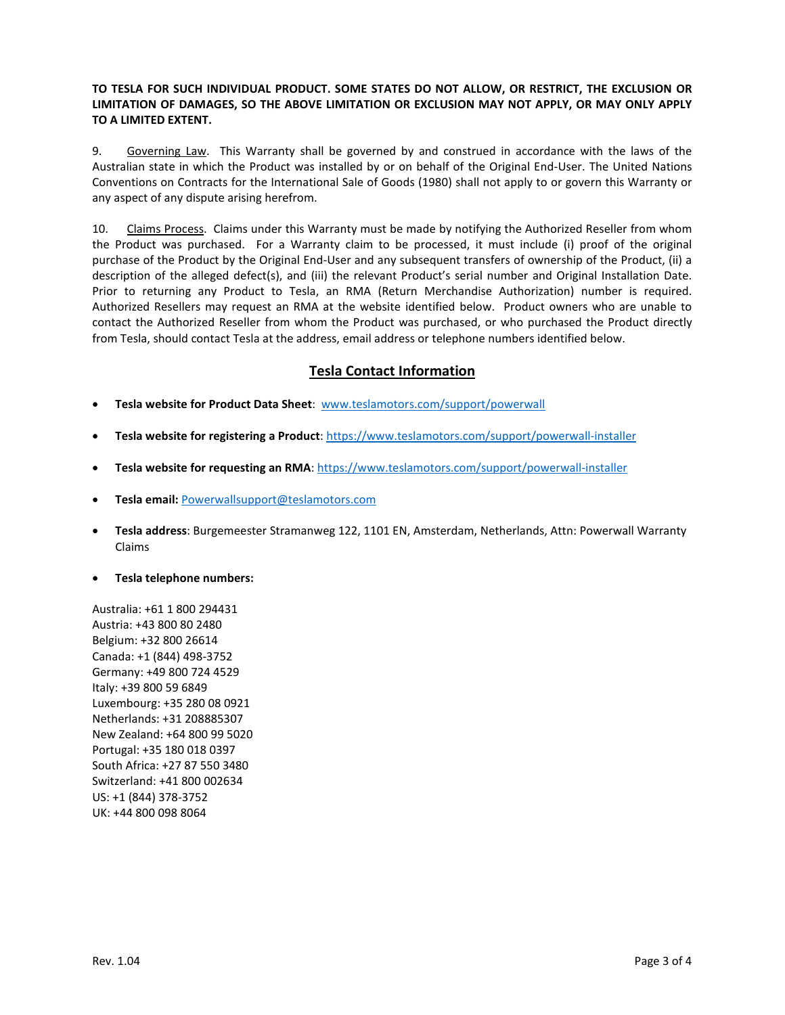## **TO TESLA FOR SUCH INDIVIDUAL PRODUCT. SOME STATES DO NOT ALLOW, OR RESTRICT, THE EXCLUSION OR LIMITATION OF DAMAGES, SO THE ABOVE LIMITATION OR EXCLUSION MAY NOT APPLY, OR MAY ONLY APPLY TO A LIMITED EXTENT.**

9. Governing Law. This Warranty shall be governed by and construed in accordance with the laws of the Australian state in which the Product was installed by or on behalf of the Original End-User. The United Nations Conventions on Contracts for the International Sale of Goods (1980) shall not apply to or govern this Warranty or any aspect of any dispute arising herefrom.

10. Claims Process. Claims under this Warranty must be made by notifying the Authorized Reseller from whom the Product was purchased. For a Warranty claim to be processed, it must include (i) proof of the original purchase of the Product by the Original End-User and any subsequent transfers of ownership of the Product, (ii) a description of the alleged defect(s), and (iii) the relevant Product's serial number and Original Installation Date. Prior to returning any Product to Tesla, an RMA (Return Merchandise Authorization) number is required. Authorized Resellers may request an RMA at the website identified below. Product owners who are unable to contact the Authorized Reseller from whom the Product was purchased, or who purchased the Product directly from Tesla, should contact Tesla at the address, email address or telephone numbers identified below.

## **Tesla Contact Information**

- **Tesla website for Product Data Sheet**: [www.teslamotors.com/support/powerwall](http://www.teslamotors.com/support/powerwall)
- **Tesla website for registering a Product**: https://www.teslamotors.com/support/powerwall-installer
- **Tesla website for requesting an RMA**: https://www.teslamotors.com/support/powerwall-installer
- **Tesla email:** [Powerwallsupport@teslamotors.com](mailto:Powerwallsupport@teslamotors.com)
- **Tesla address**: Burgemeester Stramanweg 122, 1101 EN, Amsterdam, Netherlands, Attn: Powerwall Warranty Claims
- **Tesla telephone numbers:**

Australia: +61 1 800 294431 Austria: +43 800 80 2480 Belgium: +32 800 26614 Canada: +1 (844) 498-3752 Germany: +49 800 724 4529 Italy: +39 800 59 6849 Luxembourg: +35 280 08 0921 Netherlands: +31 208885307 New Zealand: +64 800 99 5020 Portugal: +35 180 018 0397 South Africa: +27 87 550 3480 Switzerland: +41 800 002634 US: +1 (844) 378-3752 UK: +44 800 098 8064